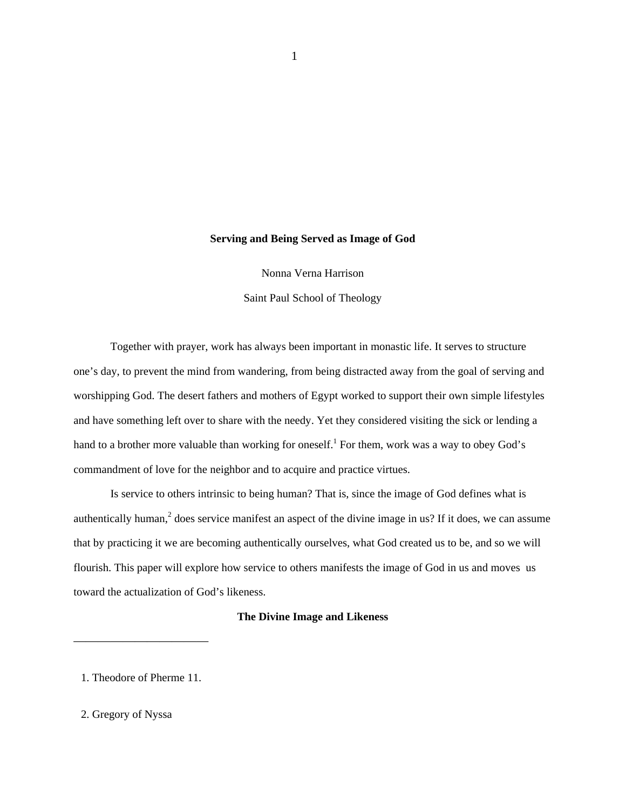# **Serving and Being Served as Image of God**

Nonna Verna Harrison

Saint Paul School of Theology

Together with prayer, work has always been important in monastic life. It serves to structure one's day, to prevent the mind from wandering, from being distracted away from the goal of serving and worshipping God. The desert fathers and mothers of Egypt worked to support their own simple lifestyles and have something left over to share with the needy. Yet they considered visiting the sick or lending a hand to a brother more valuable than working for oneself.<sup>1</sup> For them, work was a way to obey God's commandment of love for the neighbor and to acquire and practice virtues.

Is service to others intrinsic to being human? That is, since the image of God defines what is authentically human,<sup>2</sup> does service manifest an aspect of the divine image in us? If it does, we can assume that by practicing it we are becoming authentically ourselves, what God created us to be, and so we will flourish. This paper will explore how service to others manifests the image of God in us and moves us toward the actualization of God's likeness.

# **The Divine Image and Likeness**

1. Theodore of Pherme 11.

———————————

2. Gregory of Nyssa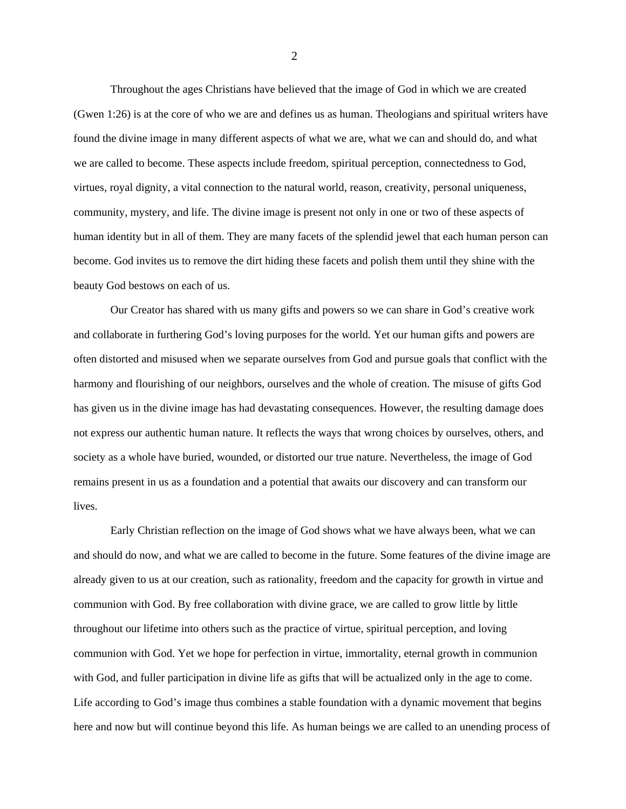Throughout the ages Christians have believed that the image of God in which we are created (Gwen 1:26) is at the core of who we are and defines us as human. Theologians and spiritual writers have found the divine image in many different aspects of what we are, what we can and should do, and what we are called to become. These aspects include freedom, spiritual perception, connectedness to God, virtues, royal dignity, a vital connection to the natural world, reason, creativity, personal uniqueness, community, mystery, and life. The divine image is present not only in one or two of these aspects of human identity but in all of them. They are many facets of the splendid jewel that each human person can become. God invites us to remove the dirt hiding these facets and polish them until they shine with the beauty God bestows on each of us.

Our Creator has shared with us many gifts and powers so we can share in God's creative work and collaborate in furthering God's loving purposes for the world. Yet our human gifts and powers are often distorted and misused when we separate ourselves from God and pursue goals that conflict with the harmony and flourishing of our neighbors, ourselves and the whole of creation. The misuse of gifts God has given us in the divine image has had devastating consequences. However, the resulting damage does not express our authentic human nature. It reflects the ways that wrong choices by ourselves, others, and society as a whole have buried, wounded, or distorted our true nature. Nevertheless, the image of God remains present in us as a foundation and a potential that awaits our discovery and can transform our lives.

Early Christian reflection on the image of God shows what we have always been, what we can and should do now, and what we are called to become in the future. Some features of the divine image are already given to us at our creation, such as rationality, freedom and the capacity for growth in virtue and communion with God. By free collaboration with divine grace, we are called to grow little by little throughout our lifetime into others such as the practice of virtue, spiritual perception, and loving communion with God. Yet we hope for perfection in virtue, immortality, eternal growth in communion with God, and fuller participation in divine life as gifts that will be actualized only in the age to come. Life according to God's image thus combines a stable foundation with a dynamic movement that begins here and now but will continue beyond this life. As human beings we are called to an unending process of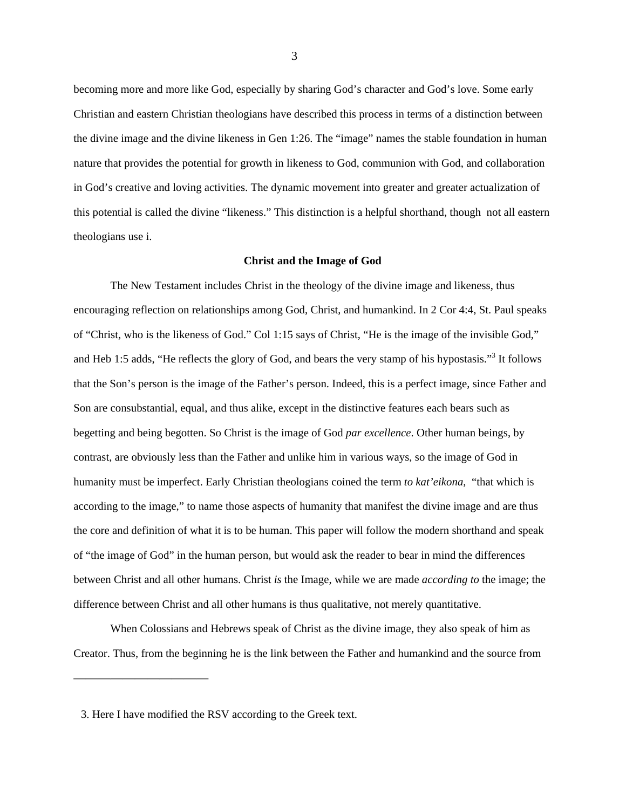becoming more and more like God, especially by sharing God's character and God's love. Some early Christian and eastern Christian theologians have described this process in terms of a distinction between the divine image and the divine likeness in Gen 1:26. The "image" names the stable foundation in human nature that provides the potential for growth in likeness to God, communion with God, and collaboration in God's creative and loving activities. The dynamic movement into greater and greater actualization of this potential is called the divine "likeness." This distinction is a helpful shorthand, though not all eastern theologians use i.

### **Christ and the Image of God**

The New Testament includes Christ in the theology of the divine image and likeness, thus encouraging reflection on relationships among God, Christ, and humankind. In 2 Cor 4:4, St. Paul speaks of "Christ, who is the likeness of God." Col 1:15 says of Christ, "He is the image of the invisible God," and Heb 1:5 adds, "He reflects the glory of God, and bears the very stamp of his hypostasis."<sup>3</sup> It follows that the Son's person is the image of the Father's person. Indeed, this is a perfect image, since Father and Son are consubstantial, equal, and thus alike, except in the distinctive features each bears such as begetting and being begotten. So Christ is the image of God *par excellence*. Other human beings, by contrast, are obviously less than the Father and unlike him in various ways, so the image of God in humanity must be imperfect. Early Christian theologians coined the term *to kat'eikona*, "that which is according to the image," to name those aspects of humanity that manifest the divine image and are thus the core and definition of what it is to be human. This paper will follow the modern shorthand and speak of "the image of God" in the human person, but would ask the reader to bear in mind the differences between Christ and all other humans. Christ *is* the Image, while we are made *according to* the image; the difference between Christ and all other humans is thus qualitative, not merely quantitative.

When Colossians and Hebrews speak of Christ as the divine image, they also speak of him as Creator. Thus, from the beginning he is the link between the Father and humankind and the source from

———————————

<sup>3.</sup> Here I have modified the RSV according to the Greek text.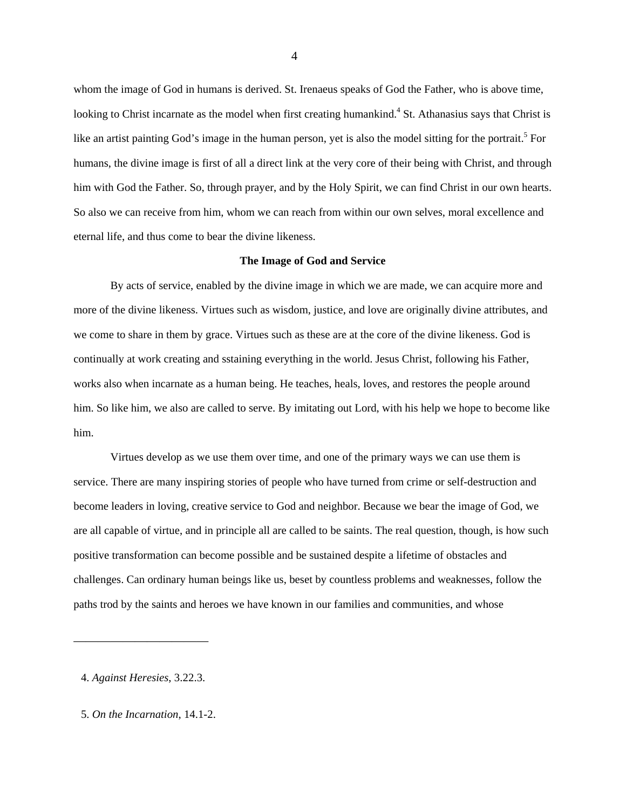whom the image of God in humans is derived. St. Irenaeus speaks of God the Father, who is above time, looking to Christ incarnate as the model when first creating humankind.<sup>4</sup> St. Athanasius says that Christ is like an artist painting God's image in the human person, yet is also the model sitting for the portrait.<sup>5</sup> For humans, the divine image is first of all a direct link at the very core of their being with Christ, and through him with God the Father. So, through prayer, and by the Holy Spirit, we can find Christ in our own hearts. So also we can receive from him, whom we can reach from within our own selves, moral excellence and eternal life, and thus come to bear the divine likeness.

#### **The Image of God and Service**

By acts of service, enabled by the divine image in which we are made, we can acquire more and more of the divine likeness. Virtues such as wisdom, justice, and love are originally divine attributes, and we come to share in them by grace. Virtues such as these are at the core of the divine likeness. God is continually at work creating and sstaining everything in the world. Jesus Christ, following his Father, works also when incarnate as a human being. He teaches, heals, loves, and restores the people around him. So like him, we also are called to serve. By imitating out Lord, with his help we hope to become like him.

Virtues develop as we use them over time, and one of the primary ways we can use them is service. There are many inspiring stories of people who have turned from crime or self-destruction and become leaders in loving, creative service to God and neighbor. Because we bear the image of God, we are all capable of virtue, and in principle all are called to be saints. The real question, though, is how such positive transformation can become possible and be sustained despite a lifetime of obstacles and challenges. Can ordinary human beings like us, beset by countless problems and weaknesses, follow the paths trod by the saints and heroes we have known in our families and communities, and whose

———————————

<sup>4.</sup> *Against Heresies*, 3.22.3.

<sup>5.</sup> *On the Incarnation*, 14.1-2.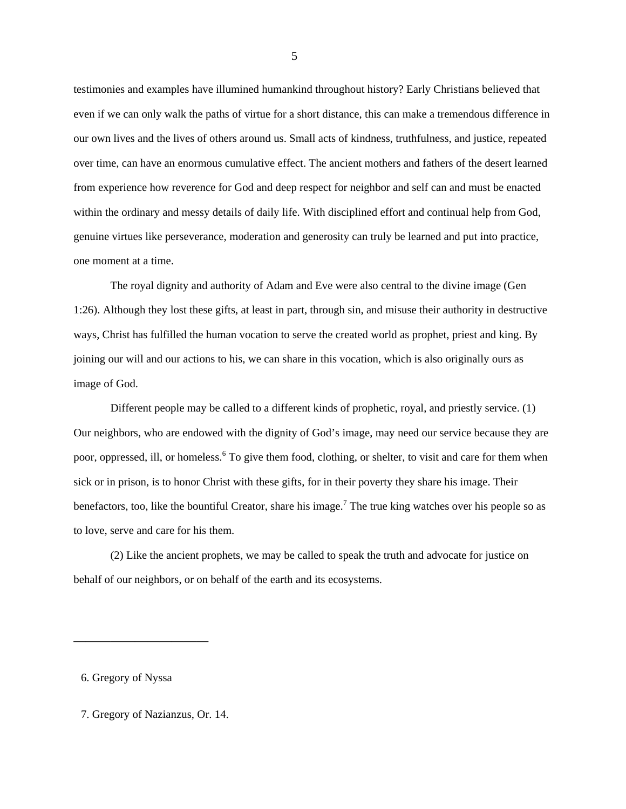testimonies and examples have illumined humankind throughout history? Early Christians believed that even if we can only walk the paths of virtue for a short distance, this can make a tremendous difference in our own lives and the lives of others around us. Small acts of kindness, truthfulness, and justice, repeated over time, can have an enormous cumulative effect. The ancient mothers and fathers of the desert learned from experience how reverence for God and deep respect for neighbor and self can and must be enacted within the ordinary and messy details of daily life. With disciplined effort and continual help from God, genuine virtues like perseverance, moderation and generosity can truly be learned and put into practice, one moment at a time.

The royal dignity and authority of Adam and Eve were also central to the divine image (Gen 1:26). Although they lost these gifts, at least in part, through sin, and misuse their authority in destructive ways, Christ has fulfilled the human vocation to serve the created world as prophet, priest and king. By joining our will and our actions to his, we can share in this vocation, which is also originally ours as image of God.

Different people may be called to a different kinds of prophetic, royal, and priestly service. (1) Our neighbors, who are endowed with the dignity of God's image, may need our service because they are poor, oppressed, ill, or homeless.<sup>6</sup> To give them food, clothing, or shelter, to visit and care for them when sick or in prison, is to honor Christ with these gifts, for in their poverty they share his image. Their benefactors, too, like the bountiful Creator, share his image.<sup>7</sup> The true king watches over his people so as to love, serve and care for his them.

(2) Like the ancient prophets, we may be called to speak the truth and advocate for justice on behalf of our neighbors, or on behalf of the earth and its ecosystems.

6. Gregory of Nyssa

———————————

7. Gregory of Nazianzus, Or. 14.

 $\overline{5}$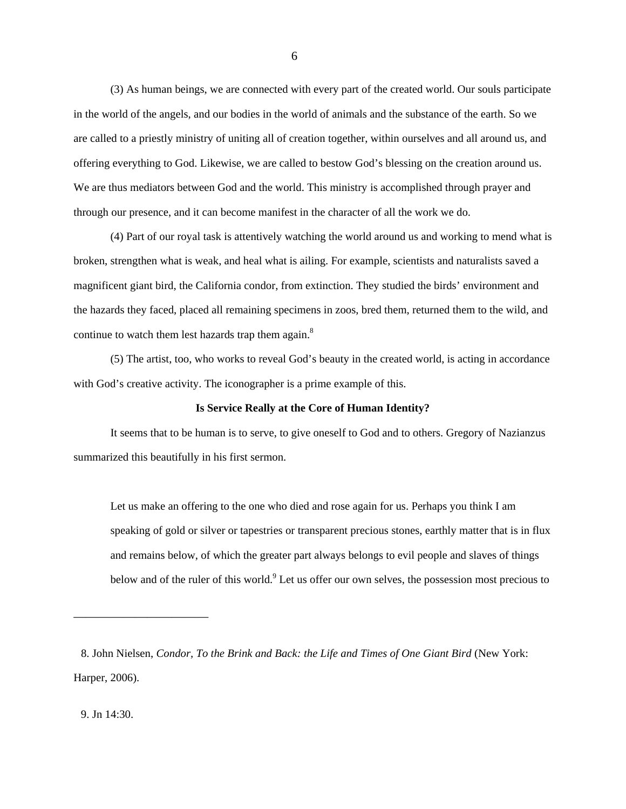(3) As human beings, we are connected with every part of the created world. Our souls participate in the world of the angels, and our bodies in the world of animals and the substance of the earth. So we are called to a priestly ministry of uniting all of creation together, within ourselves and all around us, and offering everything to God. Likewise, we are called to bestow God's blessing on the creation around us. We are thus mediators between God and the world. This ministry is accomplished through prayer and through our presence, and it can become manifest in the character of all the work we do.

(4) Part of our royal task is attentively watching the world around us and working to mend what is broken, strengthen what is weak, and heal what is ailing. For example, scientists and naturalists saved a magnificent giant bird, the California condor, from extinction. They studied the birds' environment and the hazards they faced, placed all remaining specimens in zoos, bred them, returned them to the wild, and continue to watch them lest hazards trap them again. $8$ 

(5) The artist, too, who works to reveal God's beauty in the created world, is acting in accordance with God's creative activity. The iconographer is a prime example of this.

# **Is Service Really at the Core of Human Identity?**

It seems that to be human is to serve, to give oneself to God and to others. Gregory of Nazianzus summarized this beautifully in his first sermon.

Let us make an offering to the one who died and rose again for us. Perhaps you think I am speaking of gold or silver or tapestries or transparent precious stones, earthly matter that is in flux and remains below, of which the greater part always belongs to evil people and slaves of things below and of the ruler of this world.<sup>9</sup> Let us offer our own selves, the possession most precious to

9. Jn 14:30.

———————————

<sup>8.</sup> John Nielsen, *Condor, To the Brink and Back: the Life and Times of One Giant Bird* (New York: Harper, 2006).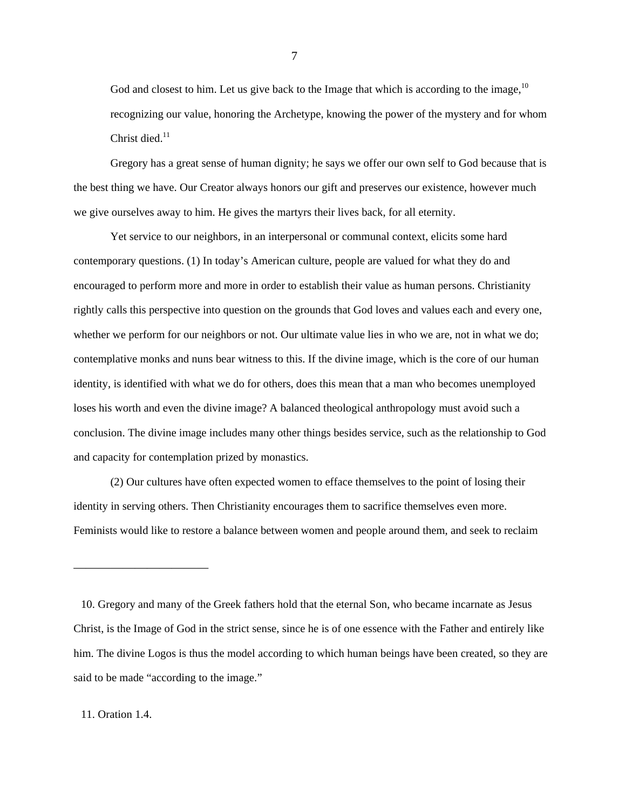God and closest to him. Let us give back to the Image that which is according to the image,  $10$ recognizing our value, honoring the Archetype, knowing the power of the mystery and for whom Christ died. $11$ 

Gregory has a great sense of human dignity; he says we offer our own self to God because that is the best thing we have. Our Creator always honors our gift and preserves our existence, however much we give ourselves away to him. He gives the martyrs their lives back, for all eternity.

Yet service to our neighbors, in an interpersonal or communal context, elicits some hard contemporary questions. (1) In today's American culture, people are valued for what they do and encouraged to perform more and more in order to establish their value as human persons. Christianity rightly calls this perspective into question on the grounds that God loves and values each and every one, whether we perform for our neighbors or not. Our ultimate value lies in who we are, not in what we do; contemplative monks and nuns bear witness to this. If the divine image, which is the core of our human identity, is identified with what we do for others, does this mean that a man who becomes unemployed loses his worth and even the divine image? A balanced theological anthropology must avoid such a conclusion. The divine image includes many other things besides service, such as the relationship to God and capacity for contemplation prized by monastics.

(2) Our cultures have often expected women to efface themselves to the point of losing their identity in serving others. Then Christianity encourages them to sacrifice themselves even more. Feminists would like to restore a balance between women and people around them, and seek to reclaim

# 11. Oration 1.4.

———————————

<sup>10.</sup> Gregory and many of the Greek fathers hold that the eternal Son, who became incarnate as Jesus Christ, is the Image of God in the strict sense, since he is of one essence with the Father and entirely like him. The divine Logos is thus the model according to which human beings have been created, so they are said to be made "according to the image."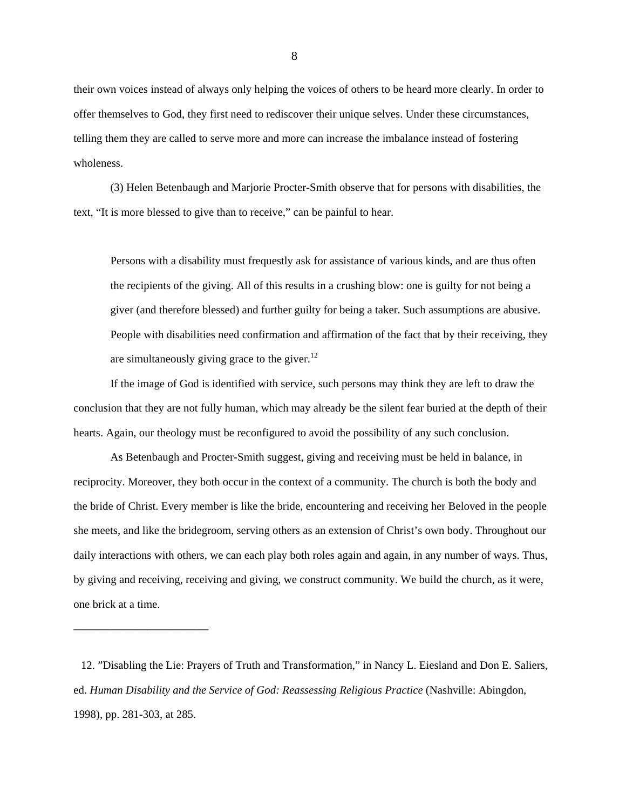their own voices instead of always only helping the voices of others to be heard more clearly. In order to offer themselves to God, they first need to rediscover their unique selves. Under these circumstances, telling them they are called to serve more and more can increase the imbalance instead of fostering wholeness.

(3) Helen Betenbaugh and Marjorie Procter-Smith observe that for persons with disabilities, the text, "It is more blessed to give than to receive," can be painful to hear.

Persons with a disability must frequestly ask for assistance of various kinds, and are thus often the recipients of the giving. All of this results in a crushing blow: one is guilty for not being a giver (and therefore blessed) and further guilty for being a taker. Such assumptions are abusive. People with disabilities need confirmation and affirmation of the fact that by their receiving, they are simultaneously giving grace to the giver.<sup>12</sup>

If the image of God is identified with service, such persons may think they are left to draw the conclusion that they are not fully human, which may already be the silent fear buried at the depth of their hearts. Again, our theology must be reconfigured to avoid the possibility of any such conclusion.

As Betenbaugh and Procter-Smith suggest, giving and receiving must be held in balance, in reciprocity. Moreover, they both occur in the context of a community. The church is both the body and the bride of Christ. Every member is like the bride, encountering and receiving her Beloved in the people she meets, and like the bridegroom, serving others as an extension of Christ's own body. Throughout our daily interactions with others, we can each play both roles again and again, in any number of ways. Thus, by giving and receiving, receiving and giving, we construct community. We build the church, as it were, one brick at a time.

———————————

<sup>12. &</sup>quot;Disabling the Lie: Prayers of Truth and Transformation," in Nancy L. Eiesland and Don E. Saliers, ed. *Human Disability and the Service of God: Reassessing Religious Practice* (Nashville: Abingdon, 1998), pp. 281-303, at 285.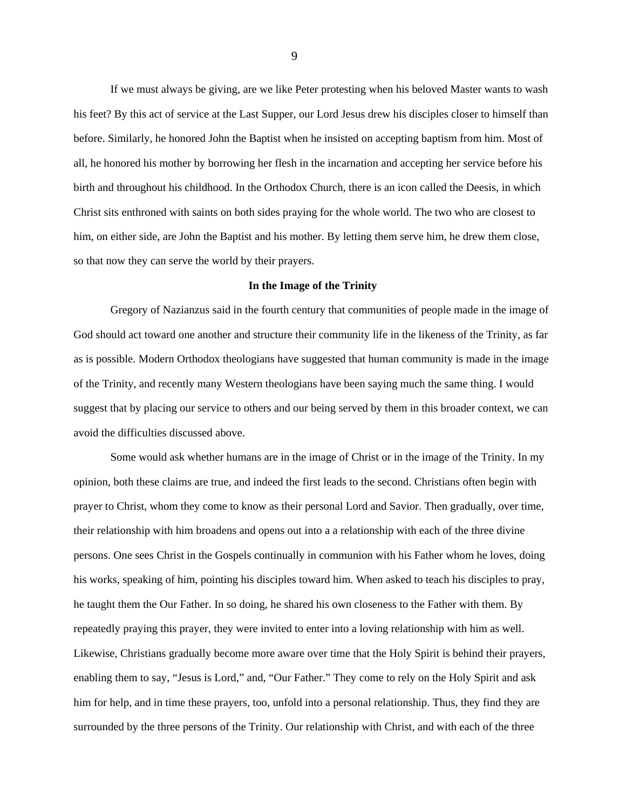If we must always be giving, are we like Peter protesting when his beloved Master wants to wash his feet? By this act of service at the Last Supper, our Lord Jesus drew his disciples closer to himself than before. Similarly, he honored John the Baptist when he insisted on accepting baptism from him. Most of all, he honored his mother by borrowing her flesh in the incarnation and accepting her service before his birth and throughout his childhood. In the Orthodox Church, there is an icon called the Deesis, in which Christ sits enthroned with saints on both sides praying for the whole world. The two who are closest to him, on either side, are John the Baptist and his mother. By letting them serve him, he drew them close, so that now they can serve the world by their prayers.

## **In the Image of the Trinity**

Gregory of Nazianzus said in the fourth century that communities of people made in the image of God should act toward one another and structure their community life in the likeness of the Trinity, as far as is possible. Modern Orthodox theologians have suggested that human community is made in the image of the Trinity, and recently many Western theologians have been saying much the same thing. I would suggest that by placing our service to others and our being served by them in this broader context, we can avoid the difficulties discussed above.

Some would ask whether humans are in the image of Christ or in the image of the Trinity. In my opinion, both these claims are true, and indeed the first leads to the second. Christians often begin with prayer to Christ, whom they come to know as their personal Lord and Savior. Then gradually, over time, their relationship with him broadens and opens out into a a relationship with each of the three divine persons. One sees Christ in the Gospels continually in communion with his Father whom he loves, doing his works, speaking of him, pointing his disciples toward him. When asked to teach his disciples to pray, he taught them the Our Father. In so doing, he shared his own closeness to the Father with them. By repeatedly praying this prayer, they were invited to enter into a loving relationship with him as well. Likewise, Christians gradually become more aware over time that the Holy Spirit is behind their prayers, enabling them to say, "Jesus is Lord," and, "Our Father." They come to rely on the Holy Spirit and ask him for help, and in time these prayers, too, unfold into a personal relationship. Thus, they find they are surrounded by the three persons of the Trinity. Our relationship with Christ, and with each of the three